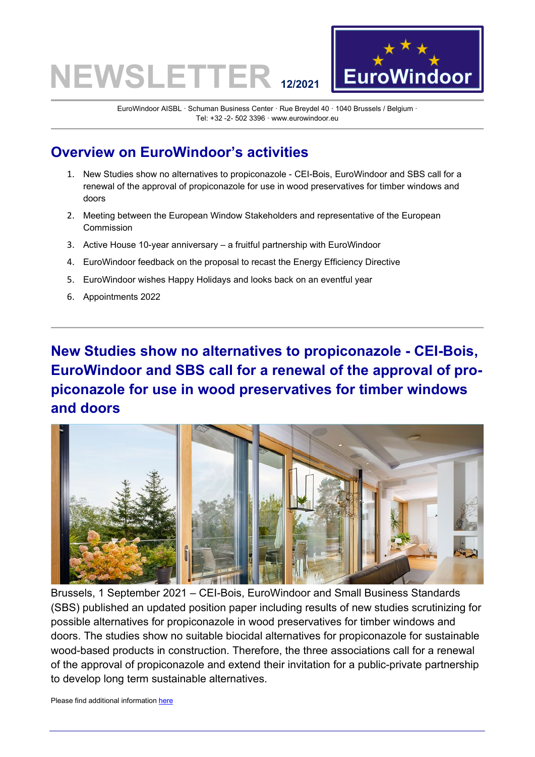## **NEWSLETTE**



EuroWindoor AISBL · Schuman Business Center · Rue Breydel 40 · 1040 Brussels / Belgium · Tel: +32 -2- 502 3396 · www.eurowindoor.eu

### **Overview on EuroWindoor's activities**

- 1. [New Studies show no alternatives to propiconazole -](#page-0-0) CEI-Bois, EuroWindoor and SBS call for a [renewal of the approval of propiconazole for use in wood preservatives for timber windows and](#page-0-0)  [doors](#page-0-0)
- 2. [Meeting between the European Window Stakeholders and representative of the European](#page-1-0)  [Commission](#page-1-0)
- 3. Active House 10-year anniversary [a fruitful partnership with EuroWindoor](#page-1-1)
- 4. [EuroWindoor feedback on the proposal to recast the Energy Efficiency Directive](#page-2-0)
- 5. [EuroWindoor wishes Happy Holidays and looks back on an eventful year](#page-2-1)
- 6. [Appointments 2022](#page-3-0)

### <span id="page-0-0"></span>**New Studies show no alternatives to propiconazole - CEI-Bois, EuroWindoor and SBS call for a renewal of the approval of propiconazole for use in wood preservatives for timber windows and doors**



Brussels, 1 September 2021 – CEI-Bois, EuroWindoor and Small Business Standards (SBS) published an updated position paper including results of new studies scrutinizing for possible alternatives for propiconazole in wood preservatives for timber windows and doors. The studies show no suitable biocidal alternatives for propiconazole for sustainable wood-based products in construction. Therefore, the three associations call for a renewal of the approval of propiconazole and extend their invitation for a public-private partnership to develop long term sustainable alternatives.

Please find additional information [here](https://www.eurowindoor.eu/eurowindoor/meta/einzelansicht/news/joint-press-releasenew-studies-show-no-alternatives-to-propiconazole-cei-bois-eurowindoor/?tx_news_pi1%5Bcontroller%5D=News&tx_news_pi1%5Baction%5D=detail&cHash=859d6ac5e5f950bb73adfcd9a884e766)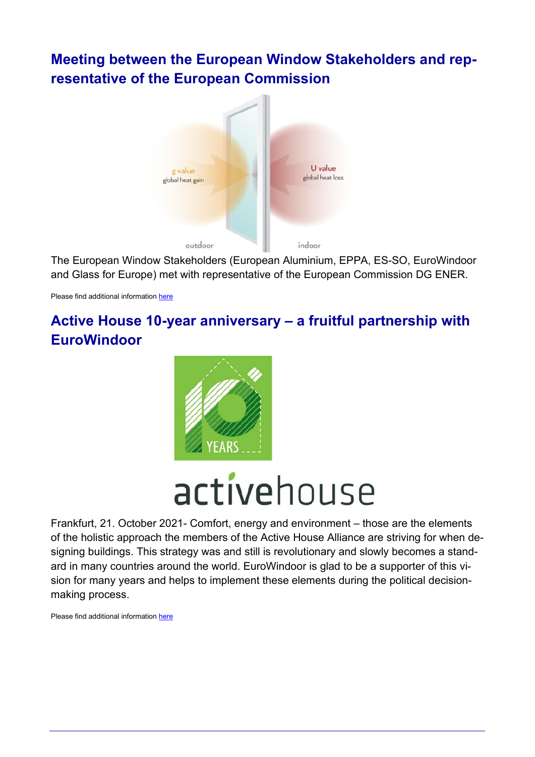### <span id="page-1-0"></span>**Meeting between the European Window Stakeholders and representative of the European Commission**



The European Window Stakeholders (European Aluminium, EPPA, ES-SO, EuroWindoor and Glass for Europe) met with representative of the European Commission DG ENER.

<span id="page-1-1"></span>Please find additional information [here](https://www.eurowindoor.eu/eurowindoor/meta/einzelansicht/news/meeting-between-the-european-window-stakeholders-and-representative-of-the-european-commission/?tx_news_pi1%5Bcontroller%5D=News&tx_news_pi1%5Baction%5D=detail&cHash=55ea8881ee55bd3f15f548850fec8747)

### **Active House 10-year anniversary – a fruitful partnership with EuroWindoor**



# activehouse

Frankfurt, 21. October 2021- Comfort, energy and environment – those are the elements of the holistic approach the members of the Active House Alliance are striving for when designing buildings. This strategy was and still is revolutionary and slowly becomes a standard in many countries around the world. EuroWindoor is glad to be a supporter of this vision for many years and helps to implement these elements during the political decisionmaking process.

Please find additional information [here](https://www.eurowindoor.eu/eurowindoor/meta/einzelansicht/news/active-house-10-year-anniversary-a-fruitful-partnership-with-eurowindoor/?tx_news_pi1%5Bcontroller%5D=News&tx_news_pi1%5Baction%5D=detail&cHash=56bd692d8ef1ca268ce03be627456ed2)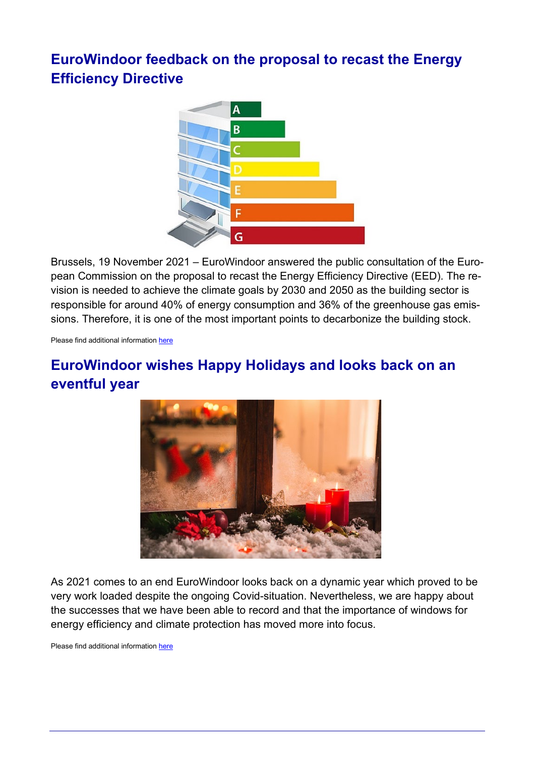### <span id="page-2-0"></span>**EuroWindoor feedback on the proposal to recast the Energy Efficiency Directive**



Brussels, 19 November 2021 – EuroWindoor answered the public consultation of the European Commission on the proposal to recast the Energy Efficiency Directive (EED). The revision is needed to achieve the climate goals by 2030 and 2050 as the building sector is responsible for around 40% of energy consumption and 36% of the greenhouse gas emissions. Therefore, it is one of the most important points to decarbonize the building stock.

<span id="page-2-1"></span>Please find additional information [here](https://www.eurowindoor.eu/eurowindoor/meta/einzelansicht/news/eurowindoor-feedback-on-the-proposal-to-recast-the-energy-efficiency-directive/?tx_news_pi1%5Bcontroller%5D=News&tx_news_pi1%5Baction%5D=detail&cHash=96623e1e5db9ec58ea4619a071ae218d)

### **EuroWindoor wishes Happy Holidays and looks back on an eventful year**



As 2021 comes to an end EuroWindoor looks back on a dynamic year which proved to be very work loaded despite the ongoing Covid-situation. Nevertheless, we are happy about the successes that we have been able to record and that the importance of windows for energy efficiency and climate protection has moved more into focus.

Please find additional information [here](https://www.eurowindoor.eu/eurowindoor/meta/einzelansicht/news/eurowindoor-wishes-happy-holidays-and-looks-back-on-an-eventful-year/?tx_news_pi1%5Bcontroller%5D=News&tx_news_pi1%5Baction%5D=detail&cHash=32298e9e498b03ea8c937345b8cbd096)